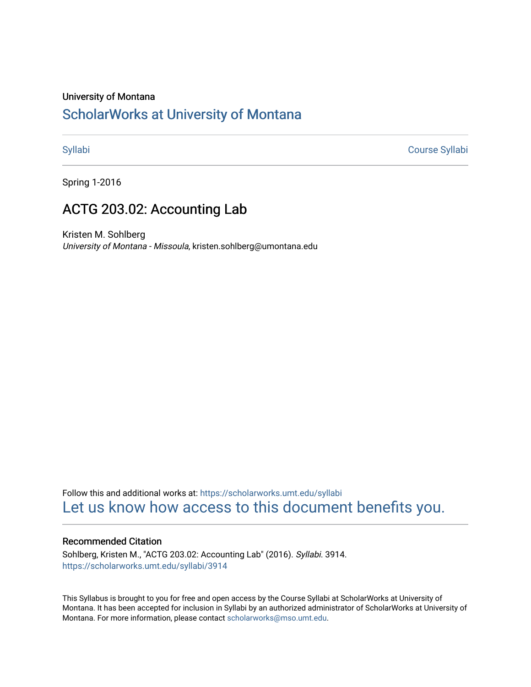## University of Montana

# [ScholarWorks at University of Montana](https://scholarworks.umt.edu/)

[Syllabi](https://scholarworks.umt.edu/syllabi) [Course Syllabi](https://scholarworks.umt.edu/course_syllabi) 

Spring 1-2016

# ACTG 203.02: Accounting Lab

Kristen M. Sohlberg University of Montana - Missoula, kristen.sohlberg@umontana.edu

Follow this and additional works at: [https://scholarworks.umt.edu/syllabi](https://scholarworks.umt.edu/syllabi?utm_source=scholarworks.umt.edu%2Fsyllabi%2F3914&utm_medium=PDF&utm_campaign=PDFCoverPages)  [Let us know how access to this document benefits you.](https://goo.gl/forms/s2rGfXOLzz71qgsB2) 

## Recommended Citation

Sohlberg, Kristen M., "ACTG 203.02: Accounting Lab" (2016). Syllabi. 3914. [https://scholarworks.umt.edu/syllabi/3914](https://scholarworks.umt.edu/syllabi/3914?utm_source=scholarworks.umt.edu%2Fsyllabi%2F3914&utm_medium=PDF&utm_campaign=PDFCoverPages)

This Syllabus is brought to you for free and open access by the Course Syllabi at ScholarWorks at University of Montana. It has been accepted for inclusion in Syllabi by an authorized administrator of ScholarWorks at University of Montana. For more information, please contact [scholarworks@mso.umt.edu.](mailto:scholarworks@mso.umt.edu)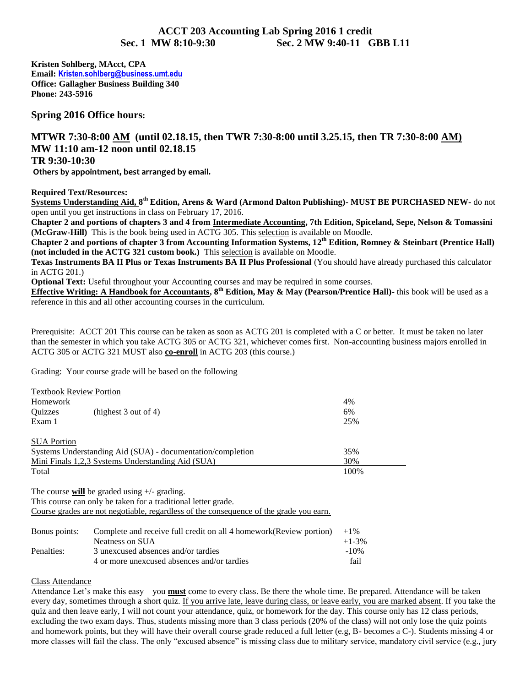## **ACCT 203 Accounting Lab Spring 2016 1 credit Sec. 1 MW 8:10-9:30 Sec. 2 MW 9:40-11 GBB L11**

**Kristen Sohlberg, MAcct, CPA Email: [Kristen.sohlberg@business.umt.edu](mailto:Kristen.sohlberg@business.umt.edu) Office: Gallagher Business Building 340 Phone: 243-5916** 

**Spring 2016 Office hours:** 

## **MTWR 7:30-8:00 AM (until 02.18.15, then TWR 7:30-8:00 until 3.25.15, then TR 7:30-8:00 AM) MW 11:10 am-12 noon until 02.18.15**

### **TR 9:30-10:30**

 **Others by appointment, best arranged by email.** 

**Required Text/Resources:** 

**Systems Understanding Aid, 8th Edition, Arens & Ward (Armond Dalton Publishing)- MUST BE PURCHASED NEW-** do not open until you get instructions in class on February 17, 2016.

**Chapter 2 and portions of chapters 3 and 4 from Intermediate Accounting, 7th Edition, Spiceland, Sepe, Nelson & Tomassini (McGraw-Hill)** This is the book being used in ACTG 305. This selection is available on Moodle.

**Chapter 2 and portions of chapter 3 from Accounting Information Systems, 12th Edition, Romney & Steinbart (Prentice Hall) (not included in the ACTG 321 custom book.)** This selection is available on Moodle.

**Texas Instruments BA II Plus or Texas Instruments BA II Plus Professional** (You should have already purchased this calculator in ACTG 201.)

**Optional Text:** Useful throughout your Accounting courses and may be required in some courses.

**Effective Writing: A Handbook for Accountants, 8th Edition, May & May (Pearson/Prentice Hall)-** this book will be used as a reference in this and all other accounting courses in the curriculum.

Prerequisite: ACCT 201 This course can be taken as soon as ACTG 201 is completed with a C or better. It must be taken no later than the semester in which you take ACTG 305 or ACTG 321, whichever comes first. Non-accounting business majors enrolled in ACTG 305 or ACTG 321 MUST also **co-enroll** in ACTG 203 (this course.)

Grading: Your course grade will be based on the following

|                    | <b>Textbook Review Portion</b>                             |      |
|--------------------|------------------------------------------------------------|------|
| Homework           |                                                            | 4%   |
| <b>Ouizzes</b>     | (highest $3$ out of $4$ )                                  | 6%   |
| Exam 1             |                                                            | 25%  |
| <b>SUA Portion</b> |                                                            |      |
|                    | Systems Understanding Aid (SUA) - documentation/completion | 35%  |
|                    | <u>Mini Finals 1,2,3 Systems Understanding Aid (SUA)</u>   | 30%  |
| Total              |                                                            | 100% |

The course **will** be graded using +/- grading.

This course can only be taken for a traditional letter grade.

Course grades are not negotiable, regardless of the consequence of the grade you earn.

| Bonus points: | Complete and receive full credit on all 4 homework (Review portion) | $+1\%$   |
|---------------|---------------------------------------------------------------------|----------|
|               | Neatness on SUA                                                     | $+1-3\%$ |
| Penalties:    | 3 unexcused absences and/or tardies                                 | $-10\%$  |
|               | 4 or more unexcused absences and/or tardies                         | fail     |

#### Class Attendance

Attendance Let's make this easy – you **must** come to every class. Be there the whole time. Be prepared. Attendance will be taken every day, sometimes through a short quiz. If you arrive late, leave during class, or leave early, you are marked absent. If you take the quiz and then leave early, I will not count your attendance, quiz, or homework for the day. This course only has 12 class periods, excluding the two exam days. Thus, students missing more than 3 class periods (20% of the class) will not only lose the quiz points and homework points, but they will have their overall course grade reduced a full letter (e.g, B- becomes a C-). Students missing 4 or more classes will fail the class. The only "excused absence" is missing class due to military service, mandatory civil service (e.g., jury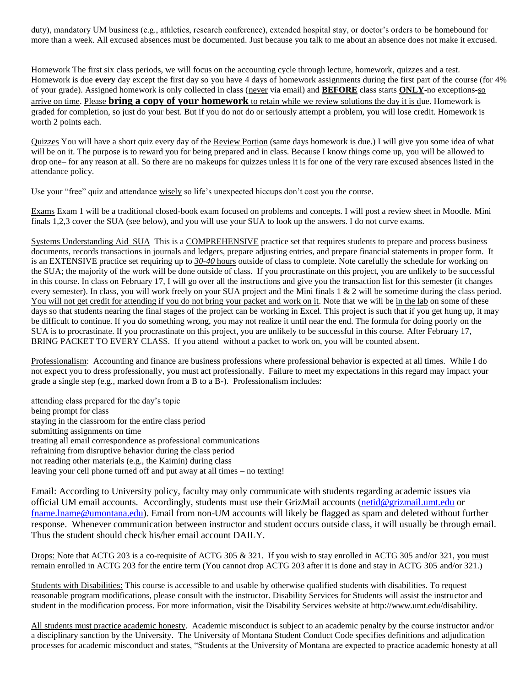duty), mandatory UM business (e.g., athletics, research conference), extended hospital stay, or doctor's orders to be homebound for more than a week. All excused absences must be documented. Just because you talk to me about an absence does not make it excused.

Homework The first six class periods, we will focus on the accounting cycle through lecture, homework, quizzes and a test. Homework is due **every** day except the first day so you have 4 days of homework assignments during the first part of the course (for 4% of your grade). Assigned homework is only collected in class (never via email) and **BEFORE** class starts **ONLY**-no exceptions-so arrive on time. Please **bring a copy of your homework** to retain while we review solutions the day it is due. Homework is graded for completion, so just do your best. But if you do not do or seriously attempt a problem, you will lose credit. Homework is worth 2 points each.

Quizzes You will have a short quiz every day of the Review Portion (same days homework is due.) I will give you some idea of what will be on it. The purpose is to reward you for being prepared and in class. Because I know things come up, you will be allowed to drop one– for any reason at all. So there are no makeups for quizzes unless it is for one of the very rare excused absences listed in the attendance policy.

Use your "free" quiz and attendance wisely so life's unexpected hiccups don't cost you the course.

Exams Exam 1 will be a traditional closed-book exam focused on problems and concepts. I will post a review sheet in Moodle. Mini finals 1,2,3 cover the SUA (see below), and you will use your SUA to look up the answers. I do not curve exams.

Systems Understanding Aid SUA This is a COMPREHENSIVE practice set that requires students to prepare and process business documents, records transactions in journals and ledgers, prepare adjusting entries, and prepare financial statements in proper form. It is an EXTENSIVE practice set requiring up to *30-40* hours outside of class to complete. Note carefully the schedule for working on the SUA; the majority of the work will be done outside of class. If you procrastinate on this project, you are unlikely to be successful in this course. In class on February 17, I will go over all the instructions and give you the transaction list for this semester (it changes every semester). In class, you will work freely on your SUA project and the Mini finals 1 & 2 will be sometime during the class period. You will not get credit for attending if you do not bring your packet and work on it. Note that we will be in the lab on some of these days so that students nearing the final stages of the project can be working in Excel. This project is such that if you get hung up, it may be difficult to continue. If you do something wrong, you may not realize it until near the end. The formula for doing poorly on the SUA is to procrastinate. If you procrastinate on this project, you are unlikely to be successful in this course. After February 17, BRING PACKET TO EVERY CLASS. If you attend without a packet to work on, you will be counted absent.

Professionalism: Accounting and finance are business professions where professional behavior is expected at all times. While I do not expect you to dress professionally, you must act professionally. Failure to meet my expectations in this regard may impact your grade a single step (e.g., marked down from a B to a B-). Professionalism includes:

attending class prepared for the day's topic being prompt for class staying in the classroom for the entire class period submitting assignments on time treating all email correspondence as professional communications refraining from disruptive behavior during the class period not reading other materials (e.g., the Kaimin) during class leaving your cell phone turned off and put away at all times – no texting!

Email: According to University policy, faculty may only communicate with students regarding academic issues via official UM email accounts. Accordingly, students must use their GrizMail accounts [\(netid@grizmail.umt.edu](mailto:netid@grizmail.umt.edu) or [fname.lname@umontana.edu\)](mailto:fname.lname@umontana.edu). Email from non-UM accounts will likely be flagged as spam and deleted without further response. Whenever communication between instructor and student occurs outside class, it will usually be through email. Thus the student should check his/her email account DAILY.

Drops: Note that ACTG 203 is a co-requisite of ACTG 305 & 321. If you wish to stay enrolled in ACTG 305 and/or 321, you must remain enrolled in ACTG 203 for the entire term (You cannot drop ACTG 203 after it is done and stay in ACTG 305 and/or 321.)

Students with Disabilities: This course is accessible to and usable by otherwise qualified students with disabilities. To request reasonable program modifications, please consult with the instructor. Disability Services for Students will assist the instructor and student in the modification process. For more information, visit the Disability Services website at http://www.umt.edu/disability.

All students must practice academic honesty. Academic misconduct is subject to an academic penalty by the course instructor and/or a disciplinary sanction by the University. The University of Montana Student Conduct Code specifies definitions and adjudication processes for academic misconduct and states, "Students at the University of Montana are expected to practice academic honesty at all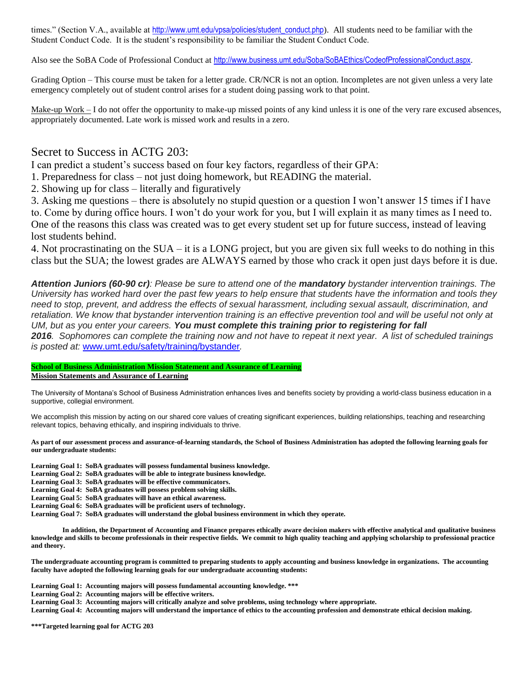times." (Section V.A., available at [http://www.umt.edu/vpsa/policies/student\\_conduct.php](http://www.umt.edu/vpsa/policies/student_conduct.php)). All students need to be familiar with the Student Conduct Code. It is the student's responsibility to be familiar the Student Conduct Code.

Also see the SoBA Code of Professional Conduct at <http://www.business.umt.edu/Soba/SoBAEthics/CodeofProfessionalConduct.aspx>.

Grading Option – This course must be taken for a letter grade. CR/NCR is not an option. Incompletes are not given unless a very late emergency completely out of student control arises for a student doing passing work to that point.

Make-up  $Work - I$  do not offer the opportunity to make-up missed points of any kind unless it is one of the very rare excused absences, appropriately documented. Late work is missed work and results in a zero.

## Secret to Success in ACTG 203:

I can predict a student's success based on four key factors, regardless of their GPA:

- 1. Preparedness for class not just doing homework, but READING the material.
- 2. Showing up for class literally and figuratively

3. Asking me questions – there is absolutely no stupid question or a question I won't answer 15 times if I have to. Come by during office hours. I won't do your work for you, but I will explain it as many times as I need to. One of the reasons this class was created was to get every student set up for future success, instead of leaving lost students behind.

4. Not procrastinating on the SUA – it is a LONG project, but you are given six full weeks to do nothing in this class but the SUA; the lowest grades are ALWAYS earned by those who crack it open just days before it is due.

*Attention Juniors (60-90 cr): Please be sure to attend one of the mandatory bystander intervention trainings. The University has worked hard over the past few years to help ensure that students have the information and tools they need to stop, prevent, and address the effects of sexual harassment, including sexual assault, discrimination, and*  retaliation. We know that bystander intervention training is an effective prevention tool and will be useful not only at *UM, but as you enter your careers. You must complete this training prior to registering for fall 2016. Sophomores can complete the training now and not have to repeat it next year. A list of scheduled trainings* 

*is posted at:* [www.umt.edu/safety/training/bystander](http://www.umt.edu/safety/training/bystander)*.* 

#### **School of Business Administration Mission Statement and Assurance of Learning**

**Mission Statements and Assurance of Learning** 

The University of Montana's School of Business Administration enhances lives and benefits society by providing a world-class business education in a supportive, collegial environment.

We accomplish this mission by acting on our shared core values of creating significant experiences, building relationships, teaching and researching relevant topics, behaving ethically, and inspiring individuals to thrive.

**As part of our assessment process and assurance-of-learning standards, the School of Business Administration has adopted the following learning goals for our undergraduate students:** 

**Learning Goal 1: SoBA graduates will possess fundamental business knowledge.** 

**Learning Goal 2: SoBA graduates will be able to integrate business knowledge.** 

**Learning Goal 3: SoBA graduates will be effective communicators.** 

**Learning Goal 4: SoBA graduates will possess problem solving skills.** 

**Learning Goal 5: SoBA graduates will have an ethical awareness.** 

**Learning Goal 6: SoBA graduates will be proficient users of technology.** 

**Learning Goal 7: SoBA graduates will understand the global business environment in which they operate.** 

 **In addition, the Department of Accounting and Finance prepares ethically aware decision makers with effective analytical and qualitative business knowledge and skills to become professionals in their respective fields. We commit to high quality teaching and applying scholarship to professional practice and theory.** 

**The undergraduate accounting program is committed to preparing students to apply accounting and business knowledge in organizations. The accounting faculty have adopted the following learning goals for our undergraduate accounting students:** 

**Learning Goal 1: Accounting majors will possess fundamental accounting knowledge. \*\*\*** 

**Learning Goal 2: Accounting majors will be effective writers.** 

**Learning Goal 3: Accounting majors will critically analyze and solve problems, using technology where appropriate.** 

**Learning Goal 4: Accounting majors will understand the importance of ethics to the accounting profession and demonstrate ethical decision making.** 

**\*\*\*Targeted learning goal for ACTG 203**